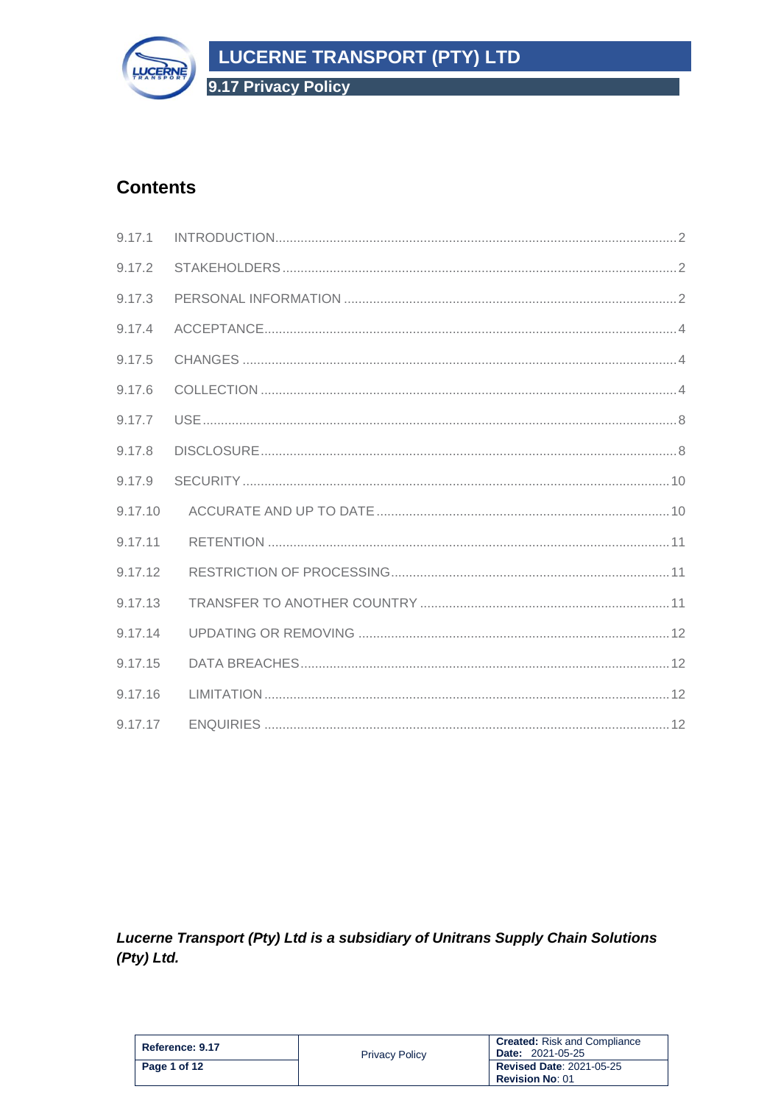



# **Contents**

| 9.17.1  |  |
|---------|--|
| 9.17.2  |  |
| 9.17.3  |  |
| 9.17.4  |  |
| 9.17.5  |  |
| 9.17.6  |  |
| 9.17.7  |  |
| 9.17.8  |  |
| 9.17.9  |  |
| 9.17.10 |  |
| 9.17.11 |  |
| 9.17.12 |  |
| 9.17.13 |  |
| 9.17.14 |  |
| 9.17.15 |  |
| 9.17.16 |  |
| 9.17.17 |  |

Lucerne Transport (Pty) Ltd is a subsidiary of Unitrans Supply Chain Solutions  $(Pty)$  Ltd.

| Reference: 9.17 | <b>Privacy Policy</b> | <b>Created:</b> Risk and Compliance<br><b>Date: 2021-05-25</b> |
|-----------------|-----------------------|----------------------------------------------------------------|
| Page 1 of 12    |                       | <b>Revised Date: 2021-05-25</b><br><b>Revision No: 01</b>      |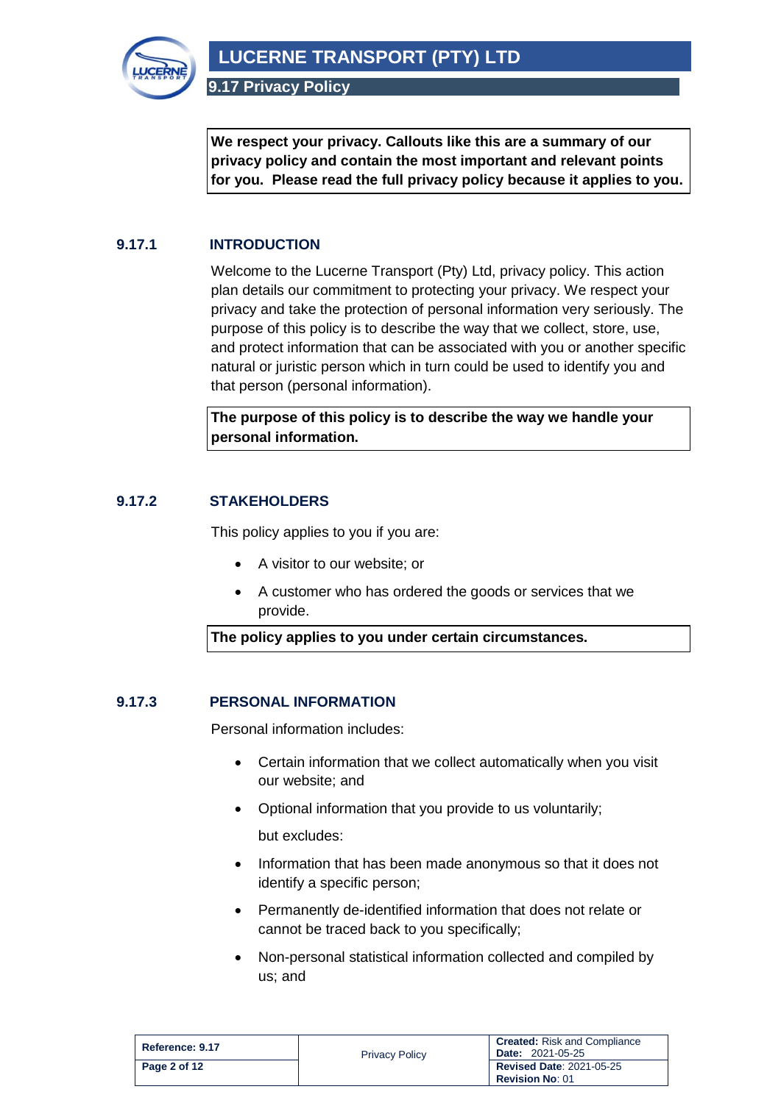

**We respect your privacy. Callouts like this are a summary of our privacy policy and contain the most important and relevant points for you. Please read the full privacy policy because it applies to you.**

# <span id="page-1-0"></span>**9.17.1 INTRODUCTION**

Welcome to the Lucerne Transport (Pty) Ltd, privacy policy. This action plan details our commitment to protecting your privacy. We respect your privacy and take the protection of personal information very seriously. The purpose of this policy is to describe the way that we collect, store, use, and protect information that can be associated with you or another specific natural or juristic person which in turn could be used to identify you and that person (personal information).

**The purpose of this policy is to describe the way we handle your personal information.**

### <span id="page-1-1"></span>**9.17.2 STAKEHOLDERS**

This policy applies to you if you are:

- A visitor to our website; or
- A customer who has ordered the goods or services that we provide.

**The policy applies to you under certain circumstances.**

#### <span id="page-1-2"></span>**9.17.3 PERSONAL INFORMATION**

Personal information includes:

- Certain information that we collect automatically when you visit our website; and
- Optional information that you provide to us voluntarily; but excludes:
- Information that has been made anonymous so that it does not identify a specific person;
- Permanently de-identified information that does not relate or cannot be traced back to you specifically;
- Non-personal statistical information collected and compiled by us; and

| Reference: 9.17 | <b>Privacy Policy</b> | <b>Created:</b> Risk and Compliance<br><b>Date: 2021-05-25</b> |
|-----------------|-----------------------|----------------------------------------------------------------|
| Page 2 of 12    |                       | <b>Revised Date: 2021-05-25</b><br><b>Revision No: 01</b>      |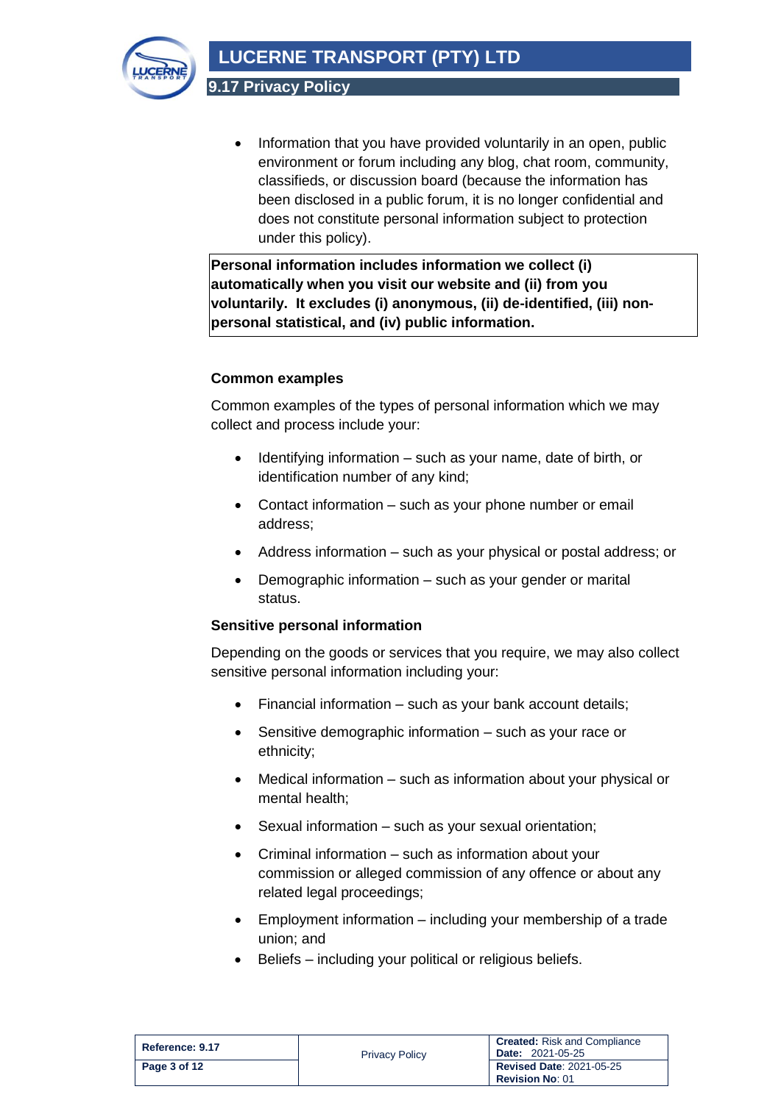**LUCERNE TRANSPORT (PTY) LTD**



**9.17 Privacy Policy**

• Information that you have provided voluntarily in an open, public environment or forum including any blog, chat room, community, classifieds, or discussion board (because the information has been disclosed in a public forum, it is no longer confidential and does not constitute personal information subject to protection under this policy).

**Personal information includes information we collect (i) automatically when you visit our website and (ii) from you voluntarily. It excludes (i) anonymous, (ii) de-identified, (iii) nonpersonal statistical, and (iv) public information.**

# **Common examples**

Common examples of the types of personal information which we may collect and process include your:

- Identifying information such as your name, date of birth, or identification number of any kind;
- Contact information such as your phone number or email address;
- Address information such as your physical or postal address; or
- Demographic information such as your gender or marital status.

# **Sensitive personal information**

Depending on the goods or services that you require, we may also collect sensitive personal information including your:

- Financial information such as your bank account details;
- Sensitive demographic information such as your race or ethnicity;
- Medical information such as information about your physical or mental health;
- Sexual information such as your sexual orientation;
- Criminal information such as information about your commission or alleged commission of any offence or about any related legal proceedings;
- Employment information including your membership of a trade union; and
- Beliefs including your political or religious beliefs.

| Reference: 9.17 | <b>Privacy Policy</b> | <b>Created:</b> Risk and Compliance<br><b>Date: 2021-05-25</b> |
|-----------------|-----------------------|----------------------------------------------------------------|
| Page 3 of 12    |                       | <b>Revised Date: 2021-05-25</b><br><b>Revision No: 01</b>      |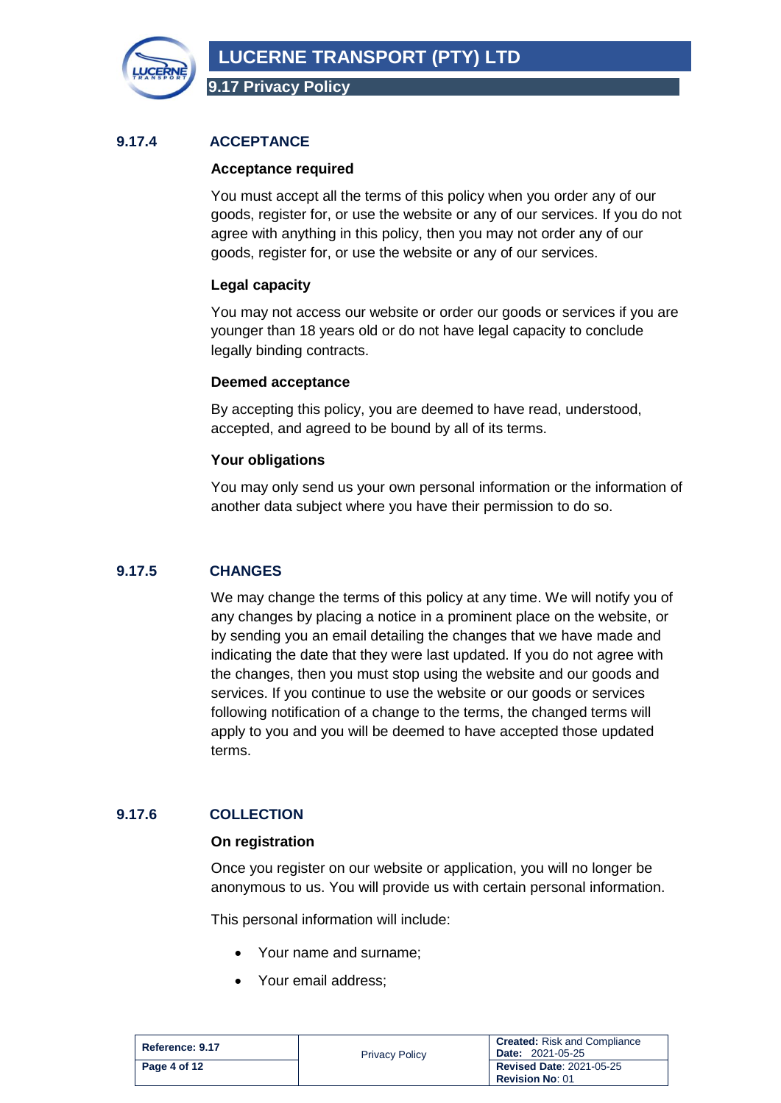

# <span id="page-3-0"></span>**9.17.4 ACCEPTANCE**

#### **Acceptance required**

You must accept all the terms of this policy when you order any of our goods, register for, or use the website or any of our services. If you do not agree with anything in this policy, then you may not order any of our goods, register for, or use the website or any of our services.

### **Legal capacity**

You may not access our website or order our goods or services if you are younger than 18 years old or do not have legal capacity to conclude legally binding contracts.

#### **Deemed acceptance**

By accepting this policy, you are deemed to have read, understood, accepted, and agreed to be bound by all of its terms.

#### **Your obligations**

You may only send us your own personal information or the information of another data subject where you have their permission to do so.

# <span id="page-3-1"></span>**9.17.5 CHANGES**

We may change the terms of this policy at any time. We will notify you of any changes by placing a notice in a prominent place on the website, or by sending you an email detailing the changes that we have made and indicating the date that they were last updated. If you do not agree with the changes, then you must stop using the website and our goods and services. If you continue to use the website or our goods or services following notification of a change to the terms, the changed terms will apply to you and you will be deemed to have accepted those updated terms.

# <span id="page-3-2"></span>**9.17.6 COLLECTION**

#### **On registration**

Once you register on our website or application, you will no longer be anonymous to us. You will provide us with certain personal information.

This personal information will include:

- Your name and surname;
- Your email address;

| Reference: 9.17 | <b>Privacy Policy</b> | <b>Created:</b> Risk and Compliance<br><b>Date: 2021-05-25</b> |
|-----------------|-----------------------|----------------------------------------------------------------|
| Page 4 of 12    |                       | <b>Revised Date: 2021-05-25</b><br><b>Revision No: 01</b>      |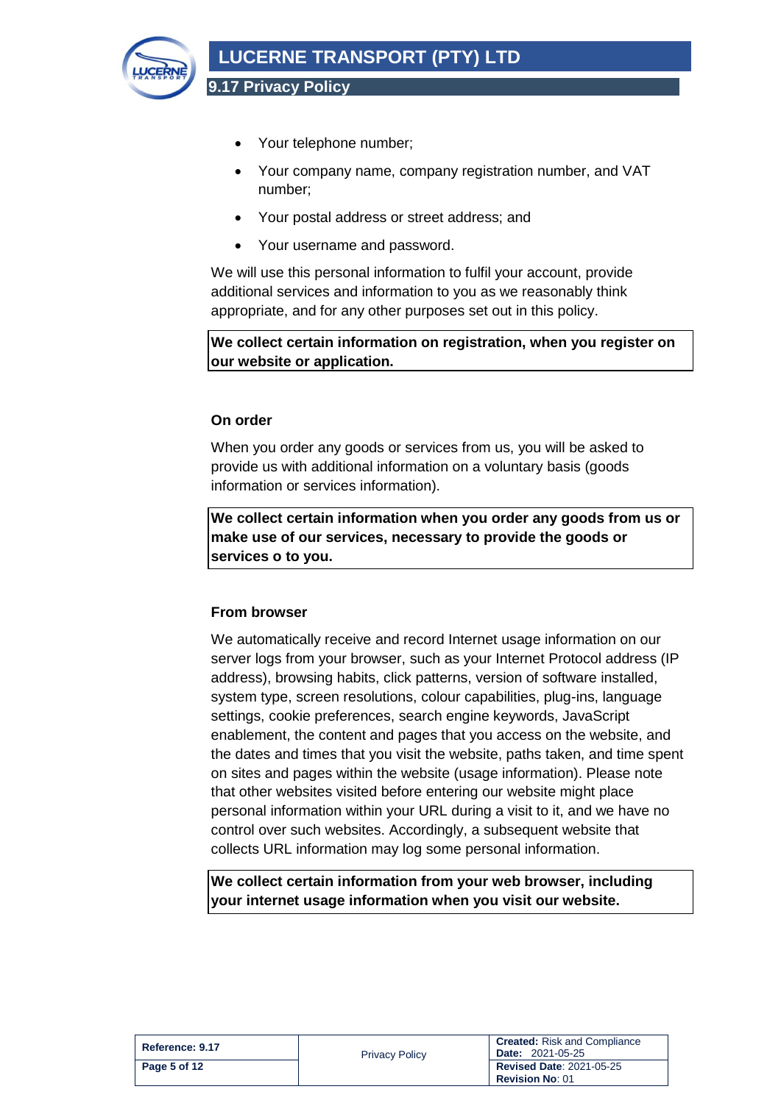

- Your telephone number;
- Your company name, company registration number, and VAT number;
- Your postal address or street address; and
- Your username and password.

We will use this personal information to fulfil your account, provide additional services and information to you as we reasonably think appropriate, and for any other purposes set out in this policy.

**We collect certain information on registration, when you register on our website or application.**

#### **On order**

When you order any goods or services from us, you will be asked to provide us with additional information on a voluntary basis (goods information or services information).

**We collect certain information when you order any goods from us or make use of our services, necessary to provide the goods or services o to you.**

#### **From browser**

We automatically receive and record Internet usage information on our server logs from your browser, such as your Internet Protocol address (IP address), browsing habits, click patterns, version of software installed, system type, screen resolutions, colour capabilities, plug-ins, language settings, cookie preferences, search engine keywords, JavaScript enablement, the content and pages that you access on the website, and the dates and times that you visit the website, paths taken, and time spent on sites and pages within the website (usage information). Please note that other websites visited before entering our website might place personal information within your URL during a visit to it, and we have no control over such websites. Accordingly, a subsequent website that collects URL information may log some personal information.

**We collect certain information from your web browser, including your internet usage information when you visit our website.**

| Reference: 9.17 | <b>Privacy Policy</b> | <b>Created:</b> Risk and Compliance<br><b>Date: 2021-05-25</b> |
|-----------------|-----------------------|----------------------------------------------------------------|
| Page 5 of 12    |                       | <b>Revised Date: 2021-05-25</b><br><b>Revision No: 01</b>      |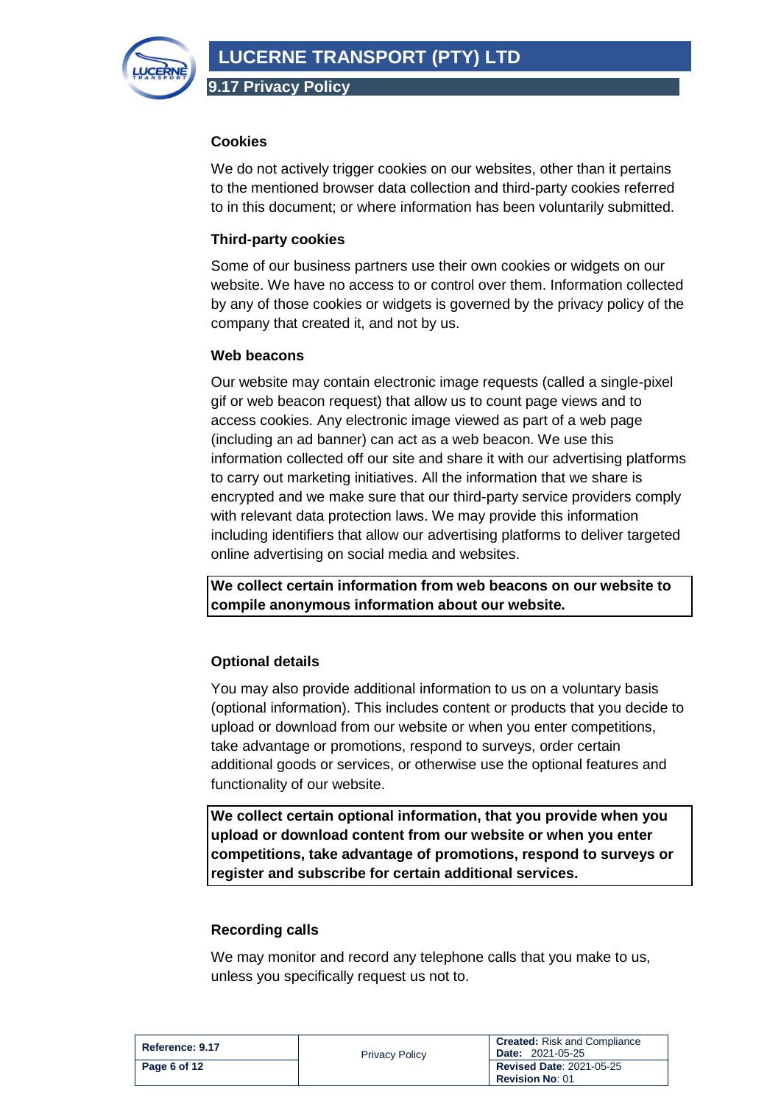

#### **Cookies**

We do not actively trigger cookies on our websites, other than it pertains to the mentioned browser data collection and third-party cookies referred to in this document; or where information has been voluntarily submitted.

### **Third-party cookies**

Some of our business partners use their own cookies or widgets on our website. We have no access to or control over them. Information collected by any of those cookies or widgets is governed by the privacy policy of the company that created it, and not by us.

#### **Web beacons**

Our website may contain electronic image requests (called a single-pixel gif or web beacon request) that allow us to count page views and to access cookies. Any electronic image viewed as part of a web page (including an ad banner) can act as a web beacon. We use this information collected off our site and share it with our advertising platforms to carry out marketing initiatives. All the information that we share is encrypted and we make sure that our third-party service providers comply with relevant data protection laws. We may provide this information including identifiers that allow our advertising platforms to deliver targeted online advertising on social media and websites.

**We collect certain information from web beacons on our website to compile anonymous information about our website.**

# **Optional details**

You may also provide additional information to us on a voluntary basis (optional information). This includes content or products that you decide to upload or download from our website or when you enter competitions, take advantage or promotions, respond to surveys, order certain additional goods or services, or otherwise use the optional features and functionality of our website.

**We collect certain optional information, that you provide when you upload or download content from our website or when you enter competitions, take advantage of promotions, respond to surveys or register and subscribe for certain additional services.**

#### **Recording calls**

We may monitor and record any telephone calls that you make to us, unless you specifically request us not to.

| Reference: 9.17 | <b>Privacy Policy</b> | <b>Created:</b> Risk and Compliance<br><b>Date: 2021-05-25</b> |
|-----------------|-----------------------|----------------------------------------------------------------|
| Page 6 of 12    |                       | <b>Revised Date: 2021-05-25</b><br><b>Revision No: 01</b>      |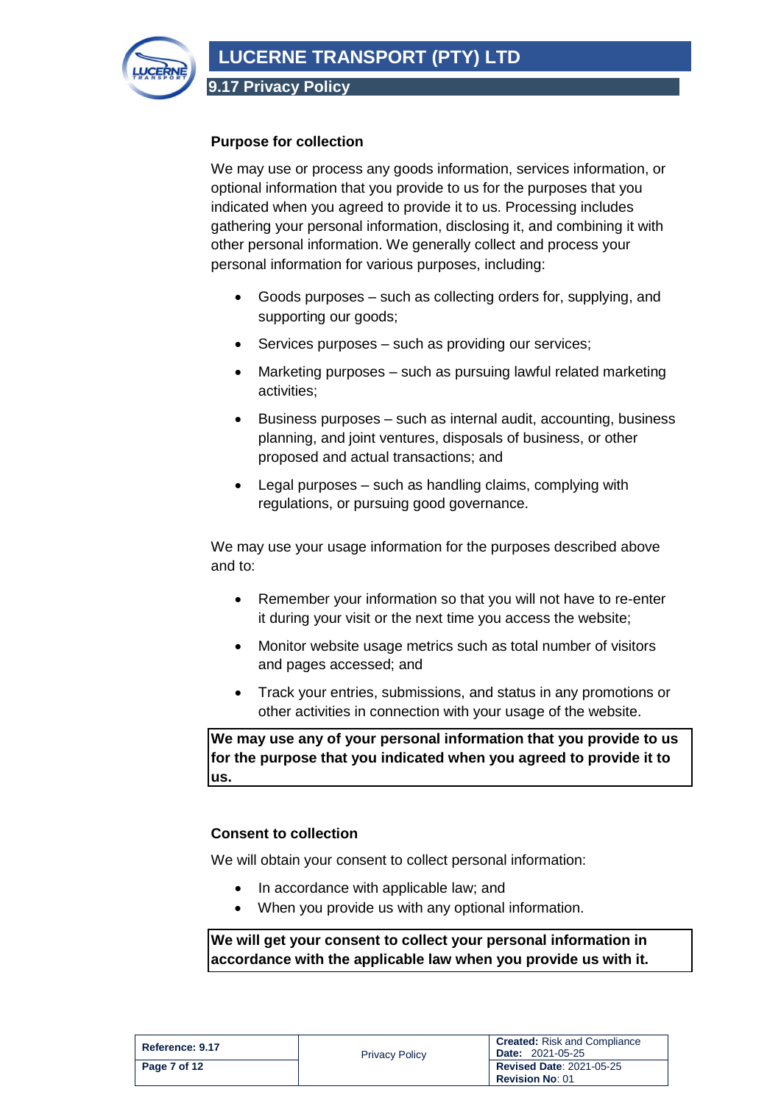

# **Purpose for collection**

We may use or process any goods information, services information, or optional information that you provide to us for the purposes that you indicated when you agreed to provide it to us. Processing includes gathering your personal information, disclosing it, and combining it with other personal information. We generally collect and process your personal information for various purposes, including:

- Goods purposes such as collecting orders for, supplying, and supporting our goods;
- Services purposes such as providing our services;
- Marketing purposes such as pursuing lawful related marketing activities;
- Business purposes such as internal audit, accounting, business planning, and joint ventures, disposals of business, or other proposed and actual transactions; and
- Legal purposes such as handling claims, complying with regulations, or pursuing good governance.

We may use your usage information for the purposes described above and to:

- Remember your information so that you will not have to re-enter it during your visit or the next time you access the website;
- Monitor website usage metrics such as total number of visitors and pages accessed; and
- Track your entries, submissions, and status in any promotions or other activities in connection with your usage of the website.

**We may use any of your personal information that you provide to us for the purpose that you indicated when you agreed to provide it to us.**

#### **Consent to collection**

We will obtain your consent to collect personal information:

- In accordance with applicable law; and
- When you provide us with any optional information.

**We will get your consent to collect your personal information in accordance with the applicable law when you provide us with it.** 

| Reference: 9.17 | <b>Privacy Policy</b> | <b>Created:</b> Risk and Compliance<br><b>Date: 2021-05-25</b> |
|-----------------|-----------------------|----------------------------------------------------------------|
| Page 7 of 12    |                       | <b>Revised Date: 2021-05-25</b><br><b>Revision No: 01</b>      |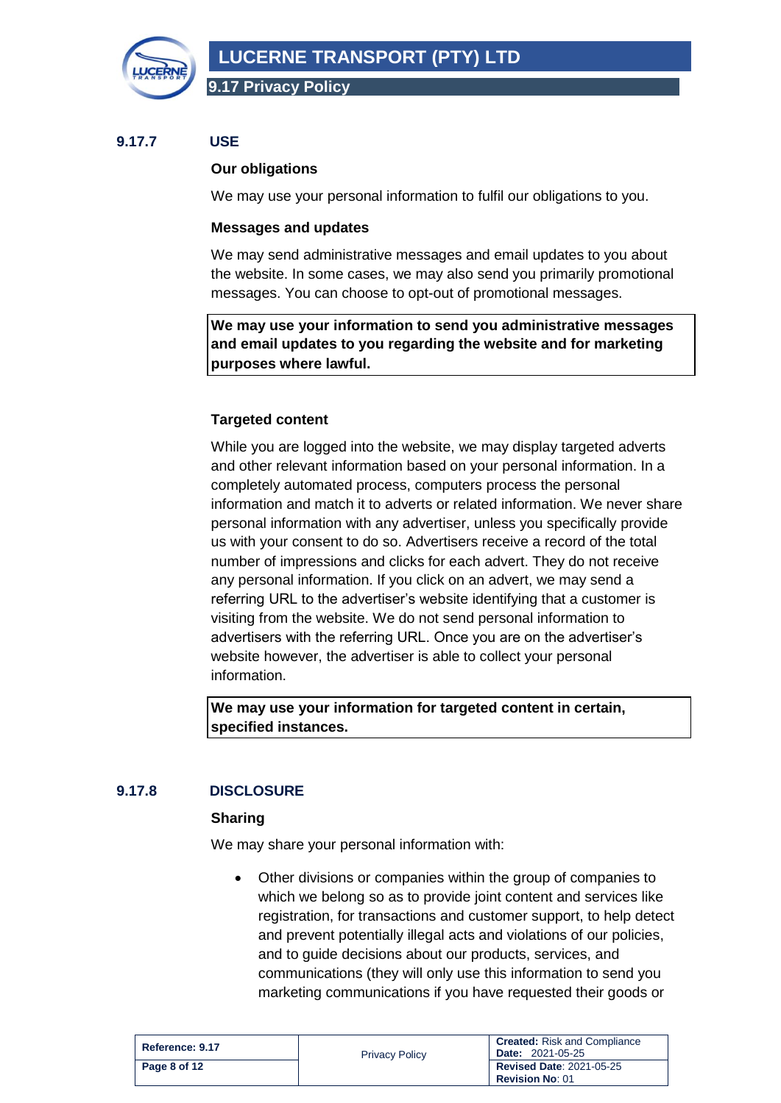

### <span id="page-7-0"></span>**9.17.7 USE**

#### **Our obligations**

We may use your personal information to fulfil our obligations to you.

#### **Messages and updates**

We may send administrative messages and email updates to you about the website. In some cases, we may also send you primarily promotional messages. You can choose to opt-out of promotional messages.

**We may use your information to send you administrative messages and email updates to you regarding the website and for marketing purposes where lawful.**

#### **Targeted content**

While you are logged into the website, we may display targeted adverts and other relevant information based on your personal information. In a completely automated process, computers process the personal information and match it to adverts or related information. We never share personal information with any advertiser, unless you specifically provide us with your consent to do so. Advertisers receive a record of the total number of impressions and clicks for each advert. They do not receive any personal information. If you click on an advert, we may send a referring URL to the advertiser's website identifying that a customer is visiting from the website. We do not send personal information to advertisers with the referring URL. Once you are on the advertiser's website however, the advertiser is able to collect your personal information.

**We may use your information for targeted content in certain, specified instances.**

# <span id="page-7-1"></span>**9.17.8 DISCLOSURE**

#### **Sharing**

We may share your personal information with:

• Other divisions or companies within the group of companies to which we belong so as to provide joint content and services like registration, for transactions and customer support, to help detect and prevent potentially illegal acts and violations of our policies, and to guide decisions about our products, services, and communications (they will only use this information to send you marketing communications if you have requested their goods or

| Reference: 9.17 | <b>Privacy Policy</b> | <b>Created:</b> Risk and Compliance<br><b>Date: 2021-05-25</b> |
|-----------------|-----------------------|----------------------------------------------------------------|
| Page 8 of 12    |                       | <b>Revised Date: 2021-05-25</b><br><b>Revision No: 01</b>      |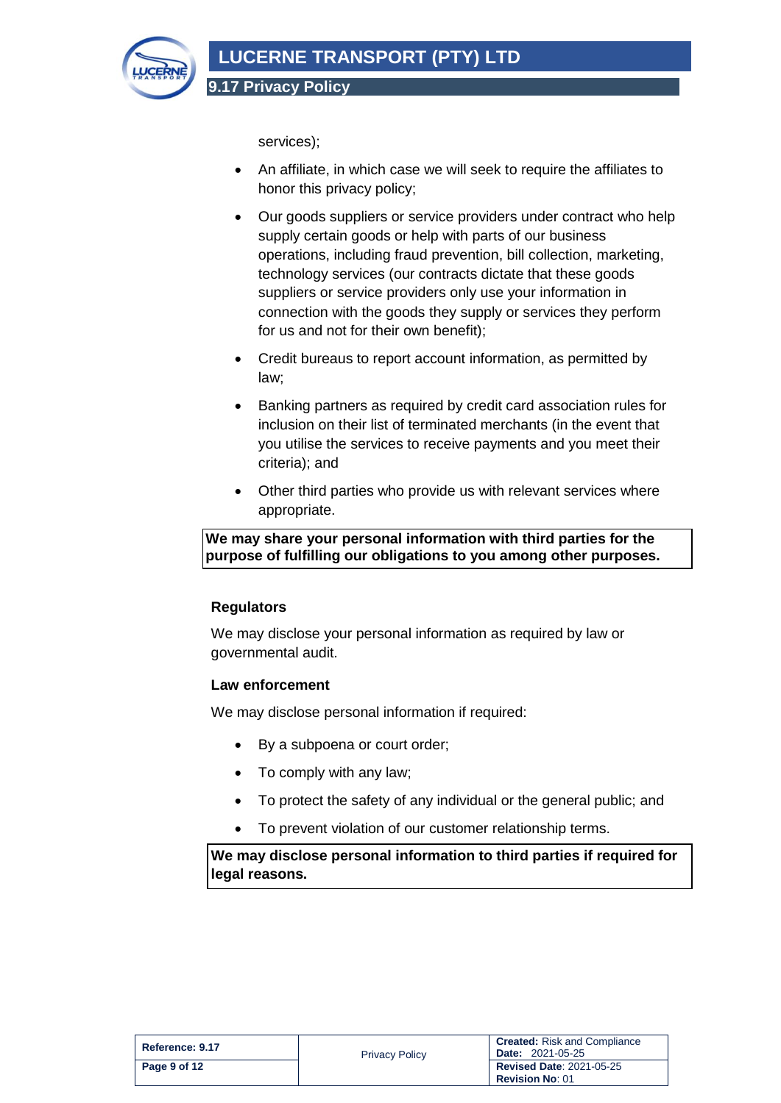

services);

- An affiliate, in which case we will seek to require the affiliates to honor this privacy policy;
- Our goods suppliers or service providers under contract who help supply certain goods or help with parts of our business operations, including fraud prevention, bill collection, marketing, technology services (our contracts dictate that these goods suppliers or service providers only use your information in connection with the goods they supply or services they perform for us and not for their own benefit);
- Credit bureaus to report account information, as permitted by law;
- Banking partners as required by credit card association rules for inclusion on their list of terminated merchants (in the event that you utilise the services to receive payments and you meet their criteria); and
- Other third parties who provide us with relevant services where appropriate.

# **We may share your personal information with third parties for the purpose of fulfilling our obligations to you among other purposes.**

# **Regulators**

We may disclose your personal information as required by law or governmental audit.

#### **Law enforcement**

We may disclose personal information if required:

- By a subpoena or court order;
- To comply with any law;
- To protect the safety of any individual or the general public; and
- To prevent violation of our customer relationship terms.

**We may disclose personal information to third parties if required for legal reasons.**

| Reference: 9.17 | <b>Privacy Policy</b> | <b>Created:</b> Risk and Compliance<br><b>Date: 2021-05-25</b> |
|-----------------|-----------------------|----------------------------------------------------------------|
| $P$ age 9 of 12 |                       | <b>Revised Date: 2021-05-25</b><br><b>Revision No: 01</b>      |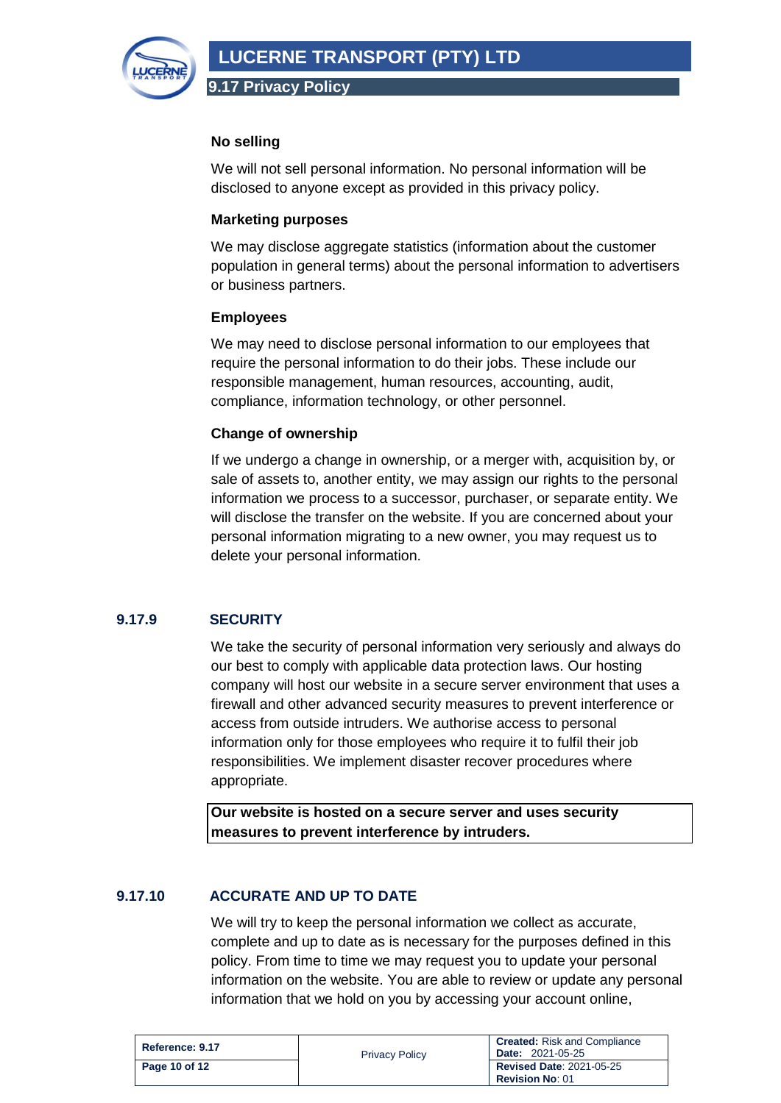

### **No selling**

We will not sell personal information. No personal information will be disclosed to anyone except as provided in this privacy policy.

#### **Marketing purposes**

We may disclose aggregate statistics (information about the customer population in general terms) about the personal information to advertisers or business partners.

#### **Employees**

We may need to disclose personal information to our employees that require the personal information to do their jobs. These include our responsible management, human resources, accounting, audit, compliance, information technology, or other personnel.

### **Change of ownership**

If we undergo a change in ownership, or a merger with, acquisition by, or sale of assets to, another entity, we may assign our rights to the personal information we process to a successor, purchaser, or separate entity. We will disclose the transfer on the website. If you are concerned about your personal information migrating to a new owner, you may request us to delete your personal information.

# <span id="page-9-0"></span>**9.17.9 SECURITY**

We take the security of personal information very seriously and always do our best to comply with applicable data protection laws. Our hosting company will host our website in a secure server environment that uses a firewall and other advanced security measures to prevent interference or access from outside intruders. We authorise access to personal information only for those employees who require it to fulfil their job responsibilities. We implement disaster recover procedures where appropriate.

**Our website is hosted on a secure server and uses security measures to prevent interference by intruders.**

# <span id="page-9-1"></span>**9.17.10 ACCURATE AND UP TO DATE**

We will try to keep the personal information we collect as accurate, complete and up to date as is necessary for the purposes defined in this policy. From time to time we may request you to update your personal information on the website. You are able to review or update any personal information that we hold on you by accessing your account online,

| Reference: 9.17 | <b>Privacy Policy</b> | <b>Created:</b> Risk and Compliance<br><b>Date: 2021-05-25</b> |
|-----------------|-----------------------|----------------------------------------------------------------|
| Page 10 of 12   |                       | <b>Revised Date: 2021-05-25</b><br><b>Revision No: 01</b>      |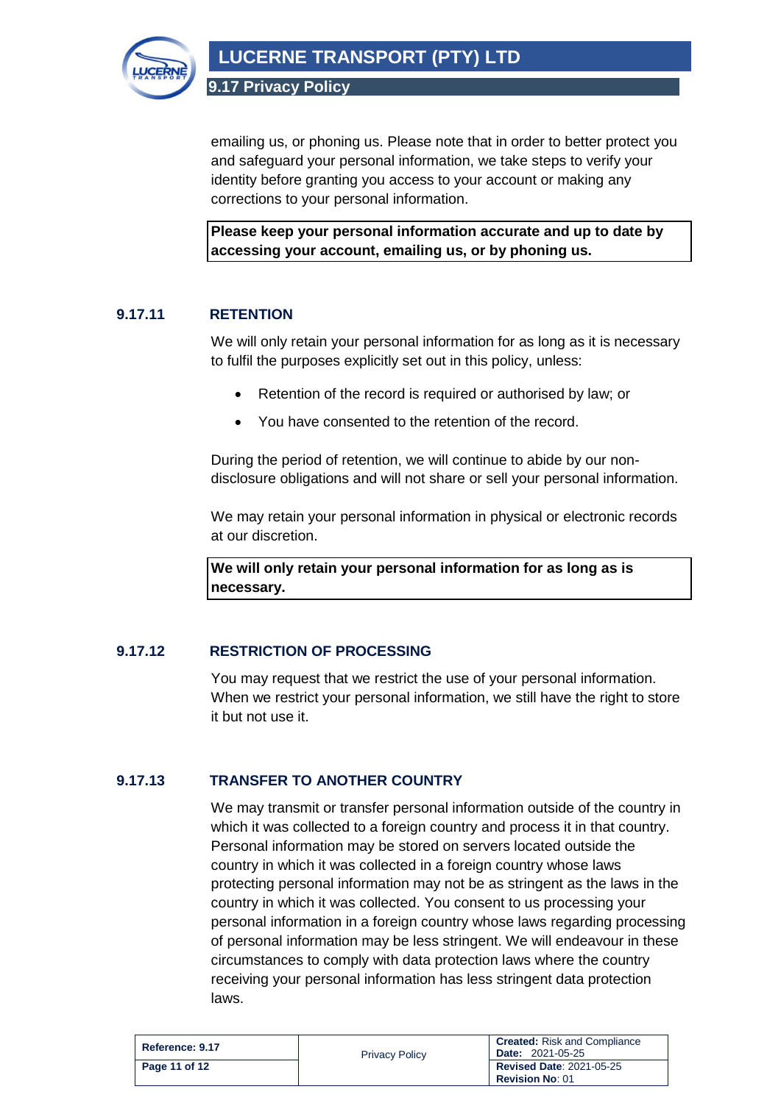

**LUCERNE TRANSPORT (PTY) LTD**

**9.17 Privacy Policy**

emailing us, or phoning us. Please note that in order to better protect you and safeguard your personal information, we take steps to verify your identity before granting you access to your account or making any corrections to your personal information.

**Please keep your personal information accurate and up to date by accessing your account, emailing us, or by phoning us.**

# <span id="page-10-0"></span>**9.17.11 RETENTION**

We will only retain your personal information for as long as it is necessary to fulfil the purposes explicitly set out in this policy, unless:

- Retention of the record is required or authorised by law; or
- You have consented to the retention of the record.

During the period of retention, we will continue to abide by our nondisclosure obligations and will not share or sell your personal information.

We may retain your personal information in physical or electronic records at our discretion.

**We will only retain your personal information for as long as is necessary.**

# <span id="page-10-1"></span>**9.17.12 RESTRICTION OF PROCESSING**

You may request that we restrict the use of your personal information. When we restrict your personal information, we still have the right to store it but not use it.

#### <span id="page-10-2"></span>**9.17.13 TRANSFER TO ANOTHER COUNTRY**

We may transmit or transfer personal information outside of the country in which it was collected to a foreign country and process it in that country. Personal information may be stored on servers located outside the country in which it was collected in a foreign country whose laws protecting personal information may not be as stringent as the laws in the country in which it was collected. You consent to us processing your personal information in a foreign country whose laws regarding processing of personal information may be less stringent. We will endeavour in these circumstances to comply with data protection laws where the country receiving your personal information has less stringent data protection laws.

| Reference: 9.17 | <b>Privacy Policy</b> | <b>Created:</b> Risk and Compliance<br><b>Date: 2021-05-25</b> |
|-----------------|-----------------------|----------------------------------------------------------------|
| Page 11 of 12   |                       | <b>Revised Date: 2021-05-25</b><br><b>Revision No: 01</b>      |